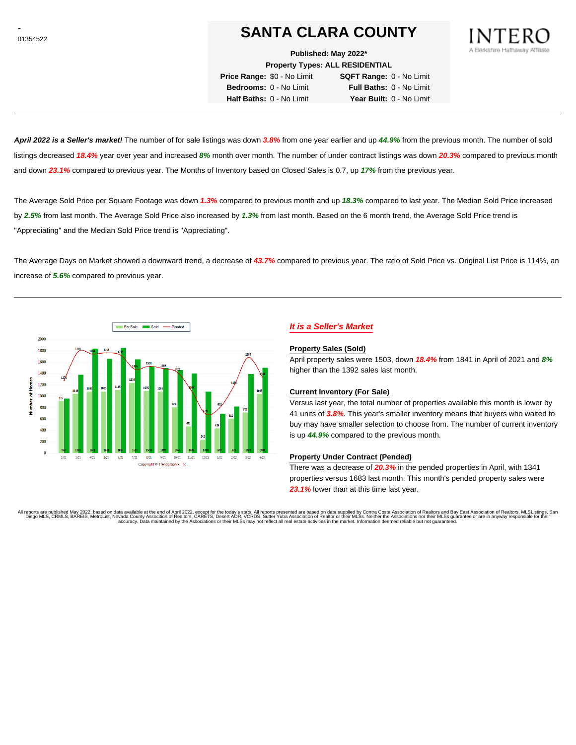# **SANTA CLARA COUNTY**

**Published: May 2022\***

**Property Types: ALL RESIDENTIAL**

**Price Range:** \$0 - No Limit **SQFT Range:** 0 - No Limit **Bedrooms:** 0 - No Limit **Full Baths:** 0 - No Limit **Half Baths:** 0 - No Limit **Year Built:** 0 - No Limit

**April 2022 is a Seller's market!** The number of for sale listings was down **3.8%** from one year earlier and up **44.9%** from the previous month. The number of sold listings decreased **18.4%** year over year and increased **8%** month over month. The number of under contract listings was down **20.3%** compared to previous month and down **23.1%** compared to previous year. The Months of Inventory based on Closed Sales is 0.7, up **17%** from the previous year.

The Average Sold Price per Square Footage was down **1.3%** compared to previous month and up **18.3%** compared to last year. The Median Sold Price increased by **2.5%** from last month. The Average Sold Price also increased by **1.3%** from last month. Based on the 6 month trend, the Average Sold Price trend is "Appreciating" and the Median Sold Price trend is "Appreciating".

The Average Days on Market showed a downward trend, a decrease of **43.7%** compared to previous year. The ratio of Sold Price vs. Original List Price is 114%, an increase of **5.6%** compared to previous year.



# **It is a Seller's Market**

#### **Property Sales (Sold)**

April property sales were 1503, down **18.4%** from 1841 in April of 2021 and **8%** higher than the 1392 sales last month.

#### **Current Inventory (For Sale)**

Versus last year, the total number of properties available this month is lower by 41 units of **3.8%**. This year's smaller inventory means that buyers who waited to buy may have smaller selection to choose from. The number of current inventory is up **44.9%** compared to the previous month.

#### **Property Under Contract (Pended)**

There was a decrease of **20.3%** in the pended properties in April, with 1341 properties versus 1683 last month. This month's pended property sales were **23.1%** lower than at this time last year.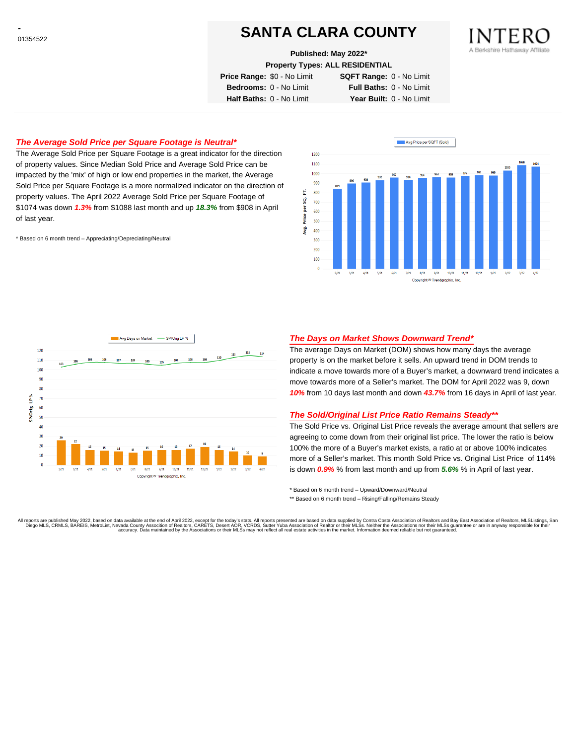# **SANTA CLARA COUNTY**

**Published: May 2022\***

**Property Types: ALL RESIDENTIAL**

**Price Range:** \$0 - No Limit **SQFT Range:** 0 - No Limit **Bedrooms:** 0 - No Limit **Full Baths:** 0 - No Limit **Half Baths:** 0 - No Limit **Year Built:** 0 - No Limit

## **The Average Sold Price per Square Footage is Neutral\***

The Average Sold Price per Square Footage is a great indicator for the direction of property values. Since Median Sold Price and Average Sold Price can be impacted by the 'mix' of high or low end properties in the market, the Average Sold Price per Square Footage is a more normalized indicator on the direction of property values. The April 2022 Average Sold Price per Square Footage of \$1074 was down **1.3%** from \$1088 last month and up **18.3%** from \$908 in April of last year.

\* Based on 6 month trend – Appreciating/Depreciating/Neutral





#### **The Days on Market Shows Downward Trend\***

The average Days on Market (DOM) shows how many days the average property is on the market before it sells. An upward trend in DOM trends to indicate a move towards more of a Buyer's market, a downward trend indicates a move towards more of a Seller's market. The DOM for April 2022 was 9, down **10%** from 10 days last month and down **43.7%** from 16 days in April of last year.

#### **The Sold/Original List Price Ratio Remains Steady\*\***

The Sold Price vs. Original List Price reveals the average amount that sellers are agreeing to come down from their original list price. The lower the ratio is below 100% the more of a Buyer's market exists, a ratio at or above 100% indicates more of a Seller's market. This month Sold Price vs. Original List Price of 114% is down **0.9%** % from last month and up from **5.6%** % in April of last year.

\* Based on 6 month trend – Upward/Downward/Neutral

\*\* Based on 6 month trend - Rising/Falling/Remains Steady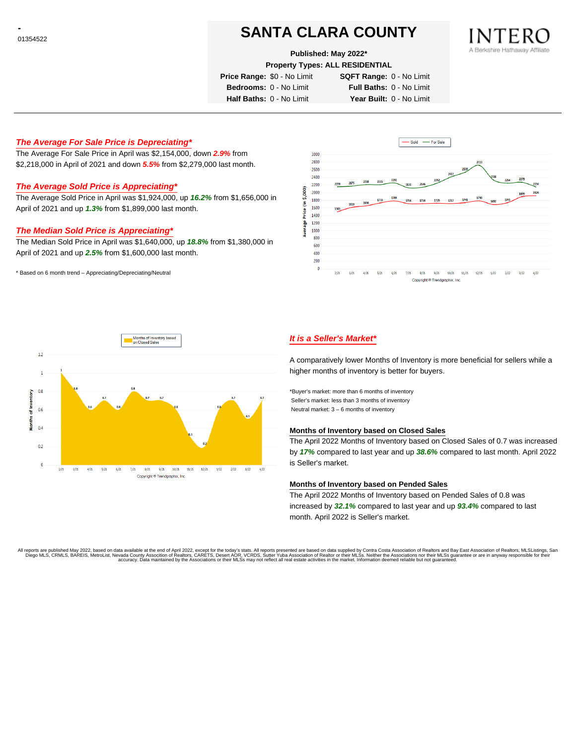# **SANTA CLARA COUNTY**

**Published: May 2022\***

**Property Types: ALL RESIDENTIAL**

**Price Range:** \$0 - No Limit **SQFT Range:** 0 - No Limit

**Bedrooms:** 0 - No Limit **Full Baths:** 0 - No Limit

**Half Baths:** 0 - No Limit **Year Built:** 0 - No Limit

### **The Average For Sale Price is Depreciating\***

The Average For Sale Price in April was \$2,154,000, down **2.9%** from \$2,218,000 in April of 2021 and down **5.5%** from \$2,279,000 last month.

### **The Average Sold Price is Appreciating\***

The Average Sold Price in April was \$1,924,000, up **16.2%** from \$1,656,000 in April of 2021 and up **1.3%** from \$1,899,000 last month.

### **The Median Sold Price is Appreciating\***

The Median Sold Price in April was \$1,640,000, up **18.8%** from \$1,380,000 in April of 2021 and up **2.5%** from \$1,600,000 last month.

\* Based on 6 month trend – Appreciating/Depreciating/Neutral





## **It is a Seller's Market\***

A comparatively lower Months of Inventory is more beneficial for sellers while a higher months of inventory is better for buyers.

\*Buyer's market: more than 6 months of inventory Seller's market: less than 3 months of inventory Neutral market: 3 – 6 months of inventory

#### **Months of Inventory based on Closed Sales**

The April 2022 Months of Inventory based on Closed Sales of 0.7 was increased by **17%** compared to last year and up **38.6%** compared to last month. April 2022 is Seller's market.

#### **Months of Inventory based on Pended Sales**

The April 2022 Months of Inventory based on Pended Sales of 0.8 was increased by **32.1%** compared to last year and up **93.4%** compared to last month. April 2022 is Seller's market.